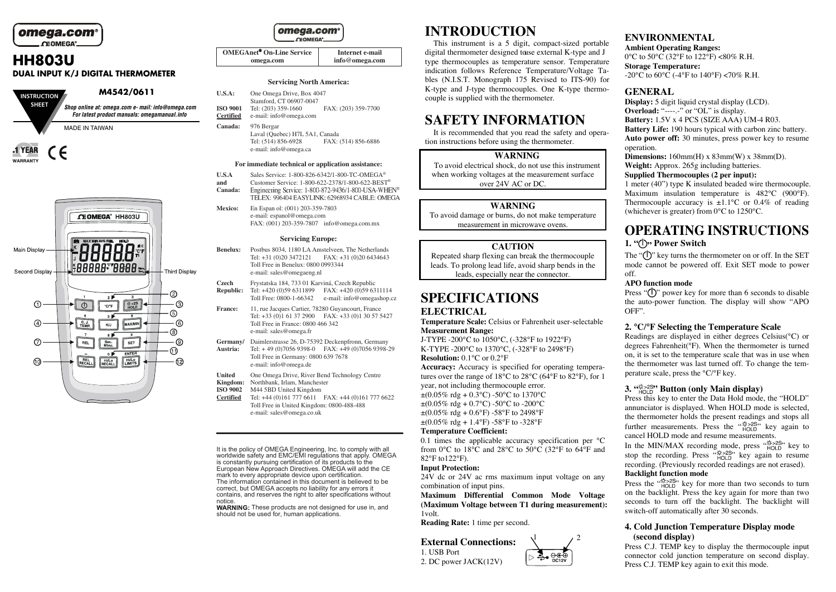omega.com OF OMEGA<sup>®</sup>

# **HH803U DUAL INPUT K/J DIGITAL THERMOMETER**





### omega.com **CEOMEGA**

| <b>OMEGAnet<sup>®</sup> On-Line Service</b> | Internet e-mail |
|---------------------------------------------|-----------------|
| omega.com                                   | info@omega.com  |

#### **Servicing North America:**

| U.S.A:                              | One Omega Drive, Box 4047<br>Stamford, CT 06907-0047                                       |                     |
|-------------------------------------|--------------------------------------------------------------------------------------------|---------------------|
| <b>ISO 9001</b><br><b>Certified</b> | Tel: (203) 359-1660<br>e-mail: info@omega.com                                              | FAX: (203) 359-7700 |
| Canada:                             | 976 Bergar<br>Laval (Quebec) H7L 5A1, Canada<br>FAX: (514) 856-6886<br>Tel: (514) 856-6928 |                     |

#### **For immediate technical or application assistance:**

e-mail: info@omega.ca

- **U.S.A** Sales Service: 1-800-826-6342/1-800-TC-OMEGA<sup>®</sup><br>and Customer Service: 1-800-622-2378/1-800-622-BEST
- Customer Service: 1-800-622-2378/1-800-622-BEST<sup>®</sup><br>Engineering Service: 1-800-872-9436/1-800-USA-WHEN<sup>®</sup> **Canada:** TELEX: 996404 EASYLINK: 62968934 CABLE: OMEGA
- **Mexico:** En Espan ol: (001) 203-359-7803 e-mail: espanol@omega.com FAX: (001) 203-359-7807 info@omega.com.mx

#### **Servicing Europe:**

- **Benelux:** Postbus 8034, 1180 LA Amstelveen, The Netherlands Tel: +31 (0)20 3472121 FAX: +31 (0)20 6434643 Toll Free in Benelux: 0800 0993344 e-mail: sales@omegaeng.nl
- **Czech** Frystatska 184, 733 01 Karviná, Czech Republic<br>**Republic:** Tel: +420 (0)59 6311899 FAX: +420 (0)59 63 Tel: +420 (0)59 6311899 FAX: +420 (0)59 6311114 Toll Free: 0800-1-66342 e-mail: info@omegashop.cz
- **France:** 11, rue Jacques Cartier, 78280 Guyancourt, France Tel:  $+33$  (0)1 61 37 2900 FAX:  $+33$  (0)1 30 57 5427 Toll Free in France: 0800 466 342 e-mail: sales@omega.fr
- **Germany/** Daimlerstrasse 26, D-75392 Deckenpfronn, Germany **Austria:** Tel: + 49 (0)7056 9398-0 FAX: +49 (0)7056 9398-29 Toll Free in Germany: 0800 639 7678 e-mail: info@omega.de
- 
- **United** One Omega Drive, River Bend Technology Centre<br> **Kingdom:** Northbank. Irlam. Manchester **Kingdom:** Northbank, Irlam, Manchester<br>**ISO 9002** M44 5BD United Kingdom
- **ISO 9002** M44 5BD United Kingdom<br>**Certified** Tel: +44 (0)161 777 6611
- Tel: +44 (0)161 777 6611 FAX: +44 (0)161 777 6622 Toll Free in United Kingdom: 0800-488-488 e-mail: sales@omega.co.uk

It is the policy of OMEGA Engineering, Inc. to comply with all worldwide safety and EMC/EMI regulations that apply. OMEGA is constantly pursuing certification of its products to the European New Approach Directives. OMEGA will add the CE mark to every appropriate device upon certification. The information contained in this document is believed to be correct, but OMEGA accepts no liability for any errors it contains, and reserves the right to alter specifications without notice.

**WARNING:** These products are not designed for use in, and should not be used for, human applications.

# **INTRODUCTION**

This instrument is a 5 digit, compact-sized portable digital thermometer designed touse external K-type and J type thermocouples as temperature sensor. Temperature indication follows Reference Temperature/Voltage Tables (N.I.S.T. Monograph 175 Revised to ITS-90) for K-type and J-type thermocouples. One K-type thermocouple is supplied with the thermometer.

# **SAFETY INFORMATION**

It is recommended that you read the safety and operation instructions before using the thermometer.

#### **WARNING**

To avoid electrical shock, do not use this instrument when working voltages at the measurement surface over 24V AC or DC.

#### **WARNING**

To avoid damage or burns, do not make temperature measurement in microwave ovens.

#### **CAUTION**

Repeated sharp flexing can break the thermocouple leads. To prolong lead life, avoid sharp bends in the leads, especially near the connector.

# **SPECIFICATIONS ELECTRICAL**

**Temperature Scale:** Celsius or Fahrenheit user-selectable **Measurement Range:** 

J-TYPE -200°C to 1050°C, (-328°F to 1922°F) K-TYPE -200°C to 1370°C, (-328°F to 2498°F) **Resolution:** 0.1°C or 0.2°F

**Accuracy:** Accuracy is specified for operating temperatures over the range of 18°C to 28°C (64°F to 82°F), for 1 year, not including thermocouple error.  $\pm (0.05\% \text{ rdg} + 0.3\degree \text{C}) - 50\degree \text{C}$  to 1370°C  $\pm (0.05\% \text{ rdg} + 0.7\degree \text{C}) - 50\degree \text{C}$  to -200 $\degree \text{C}$  $\pm (0.05\% \text{ rdg} + 0.6\text{°F})$  -58°F to 2498°F  $\pm (0.05\% \text{ rdg} + 1.4\degree \text{F}) - 58\degree \text{F}$  to -328 $\degree \text{F}$ 

#### **Temperature Coefficient:**

0.1 times the applicable accuracy specification per °C from 0°C to 18°C and 28°C to 50°C (32°F to 64°F and 82°F to122°F).

#### **Input Protection:**

24V dc or 24V ac rms maximum input voltage on any combination of input pins.

**Maximum Differential Common Mode Voltage (Maximum Voltage between T1 during measurement):** 1volt.

 $\frac{1}{2}$   $\frac{2}{2}$ 

.⊝∈⊕

**Reading Rate:** 1 time per second.



# **ENVIRONMENTAL**

**Ambient Operating Ranges:**  0°C to 50°C (32°F to 122°F) <80% R.H. **Storage Temperature:** 

 $-20^{\circ}$ C to 60 $^{\circ}$ C ( $-4^{\circ}$ F to 140 $^{\circ}$ F) <70% R.H.

# **GENERAL**

**Display:** 5 digit liquid crystal display (LCD). **Overload:** "------" or "OL" is display. **Battery:** 1.5V x 4 PCS (SIZE AAA) UM-4 R03. **Battery Life:** 190 hours typical with carbon zinc battery. **Auto power off:** 30 minutes, press power key to resume operation.

**Dimensions:** 160mm(H) x 83mm(W) x 38mm(D). **Weight:** Approx. 265g including batteries.

#### **Supplied Thermocouples (2 per input):**

1 meter (40") type K insulated beaded wire thermocouple. Maximum insulation temperature is 482°C (900°F). Thermocouple accuracy is  $\pm 1.1^{\circ}$ C or 0.4% of reading (whichever is greater) from 0°C to 1250°C.

# **OPERATING INSTRUCTIONS 1. " " Power Switch**

The " $(\cdot)$ " key turns the thermometer on or off. In the SET mode cannot be powered off. Exit SET mode to power off.

### **APO function mode**

Press " $($ )" power key for more than 6 seconds to disable the auto-power function. The display will show "APO OFF".

### **2. °C/°F Selecting the Temperature Scale**

Readings are displayed in either degrees Celsius(°C) or degrees Fahrenheit(°F). When the thermometer is turned on, it is set to the temperature scale that was in use when the thermometer was last turned off. To change the temperature scale, press the °C/°F key.

# **3. " " Button (only Main display)**

Press this key to enter the Data Hold mode, the "HOLD" annunciator is displayed. When HOLD mode is selected, the thermometer holds the present readings and stops all further measurements. Press the  $\frac{4x>28}{HOLD}$  key again to cancel HOLD mode and resume measurements.

In the MIN/MAX recording mode, press " $_{\text{HOLD}}^{\text{W225}}$ " key to stop the recording. Press " $_{\text{HOLD}}^{\text{QED}}$ " key again to resume recording. (Previously recorded readings are not erased). **Backlight function mode** 

Press the " $_{HOLD}^{x*>2S}$ " key for more than two seconds to turn on the backlight. Press the key again for more than two seconds to turn off the backlight. The backlight will switch-off automatically after 30 seconds.

# **4. Cold Junction Temperature Display mode (second display)**

Press C.J. TEMP key to display the thermocouple input connector cold junction temperature on second display. Press C.J. TEMP key again to exit this mode.

**External Connections:**  1. USB Port 2. DC power JACK(12V)